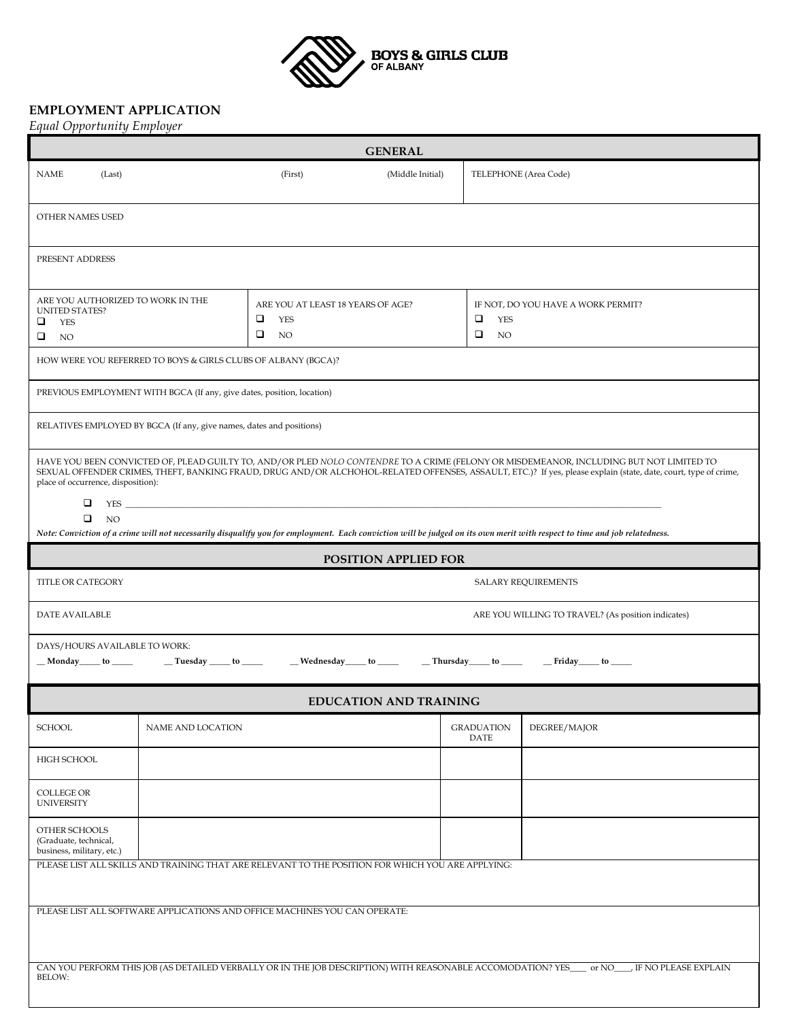

## **EMPLOYMENT APPLICATION**

*Equal Opportunity Employer*

| <b>GENERAL</b>                                                                                                                                                                                                                                                                                                                                                          |                   |                                                                 |                  |                                                                       |              |  |  |  |  |
|-------------------------------------------------------------------------------------------------------------------------------------------------------------------------------------------------------------------------------------------------------------------------------------------------------------------------------------------------------------------------|-------------------|-----------------------------------------------------------------|------------------|-----------------------------------------------------------------------|--------------|--|--|--|--|
| <b>NAME</b><br>(Last)                                                                                                                                                                                                                                                                                                                                                   |                   | (First)                                                         | (Middle Initial) | TELEPHONE (Area Code)                                                 |              |  |  |  |  |
| OTHER NAMES USED                                                                                                                                                                                                                                                                                                                                                        |                   |                                                                 |                  |                                                                       |              |  |  |  |  |
| PRESENT ADDRESS                                                                                                                                                                                                                                                                                                                                                         |                   |                                                                 |                  |                                                                       |              |  |  |  |  |
| ARE YOU AUTHORIZED TO WORK IN THE<br><b>UNITED STATES?</b><br>❏<br>YES<br>□<br>NO.                                                                                                                                                                                                                                                                                      |                   | ARE YOU AT LEAST 18 YEARS OF AGE?<br>□<br>YES<br>❏<br><b>NO</b> |                  | IF NOT, DO YOU HAVE A WORK PERMIT?<br>□<br>YES<br>$\Box$<br><b>NO</b> |              |  |  |  |  |
| HOW WERE YOU REFERRED TO BOYS & GIRLS CLUBS OF ALBANY (BGCA)?                                                                                                                                                                                                                                                                                                           |                   |                                                                 |                  |                                                                       |              |  |  |  |  |
| PREVIOUS EMPLOYMENT WITH BGCA (If any, give dates, position, location)                                                                                                                                                                                                                                                                                                  |                   |                                                                 |                  |                                                                       |              |  |  |  |  |
| RELATIVES EMPLOYED BY BGCA (If any, give names, dates and positions)                                                                                                                                                                                                                                                                                                    |                   |                                                                 |                  |                                                                       |              |  |  |  |  |
| HAVE YOU BEEN CONVICTED OF, PLEAD GUILTY TO, AND/OR PLED NOLO CONTENDRE TO A CRIME (FELONY OR MISDEMEANOR, INCLUDING BUT NOT LIMITED TO<br>SEXUAL OFFENDER CRIMES, THEFT, BANKING FRAUD, DRUG AND/OR ALCHOHOL-RELATED OFFENSES, ASSAULT, ETC.)? If yes, please explain (state, date, court, type of crime,<br>place of occurrence, disposition):<br>❏<br>$YES$ $\qquad$ |                   |                                                                 |                  |                                                                       |              |  |  |  |  |
| $\Box$<br><b>NO</b><br>Note: Conviction of a crime will not necessarily disqualify you for employment. Each conviction will be judged on its own merit with respect to time and job relatedness.                                                                                                                                                                        |                   |                                                                 |                  |                                                                       |              |  |  |  |  |
| <b>POSITION APPLIED FOR</b>                                                                                                                                                                                                                                                                                                                                             |                   |                                                                 |                  |                                                                       |              |  |  |  |  |
| TITLE OR CATEGORY<br><b>SALARY REQUIREMENTS</b>                                                                                                                                                                                                                                                                                                                         |                   |                                                                 |                  |                                                                       |              |  |  |  |  |
| DATE AVAILABLE<br>ARE YOU WILLING TO TRAVEL? (As position indicates)                                                                                                                                                                                                                                                                                                    |                   |                                                                 |                  |                                                                       |              |  |  |  |  |
| DAYS/HOURS AVAILABLE TO WORK:<br>_Monday___ to ____ __ __Tuesday ____ to ____ ___ __Wednesday ____ to ____ ____Thursday ____ to ____ ____Friday ____ to ____                                                                                                                                                                                                            |                   |                                                                 |                  |                                                                       |              |  |  |  |  |
| <b>EDUCATION AND TRAINING</b>                                                                                                                                                                                                                                                                                                                                           |                   |                                                                 |                  |                                                                       |              |  |  |  |  |
| <b>SCHOOL</b>                                                                                                                                                                                                                                                                                                                                                           | NAME AND LOCATION |                                                                 |                  | <b>GRADUATION</b><br>DATE                                             | DEGREE/MAJOR |  |  |  |  |
| HIGH SCHOOL                                                                                                                                                                                                                                                                                                                                                             |                   |                                                                 |                  |                                                                       |              |  |  |  |  |
| <b>COLLEGE OR</b><br><b>UNIVERSITY</b>                                                                                                                                                                                                                                                                                                                                  |                   |                                                                 |                  |                                                                       |              |  |  |  |  |
| OTHER SCHOOLS<br>(Graduate, technical,<br>business, military, etc.)                                                                                                                                                                                                                                                                                                     |                   |                                                                 |                  |                                                                       |              |  |  |  |  |
| PLEASE LIST ALL SKILLS AND TRAINING THAT ARE RELEVANT TO THE POSITION FOR WHICH YOU ARE APPLYING:                                                                                                                                                                                                                                                                       |                   |                                                                 |                  |                                                                       |              |  |  |  |  |
| PLEASE LIST ALL SOFTWARE APPLICATIONS AND OFFICE MACHINES YOU CAN OPERATE:                                                                                                                                                                                                                                                                                              |                   |                                                                 |                  |                                                                       |              |  |  |  |  |
| CAN YOU PERFORM THIS JOB (AS DETAILED VERBALLY OR IN THE JOB DESCRIPTION) WITH REASONABLE ACCOMODATION? YES_____ or NO_____ IF NO PLEASE EXPLAIN<br>BELOW:                                                                                                                                                                                                              |                   |                                                                 |                  |                                                                       |              |  |  |  |  |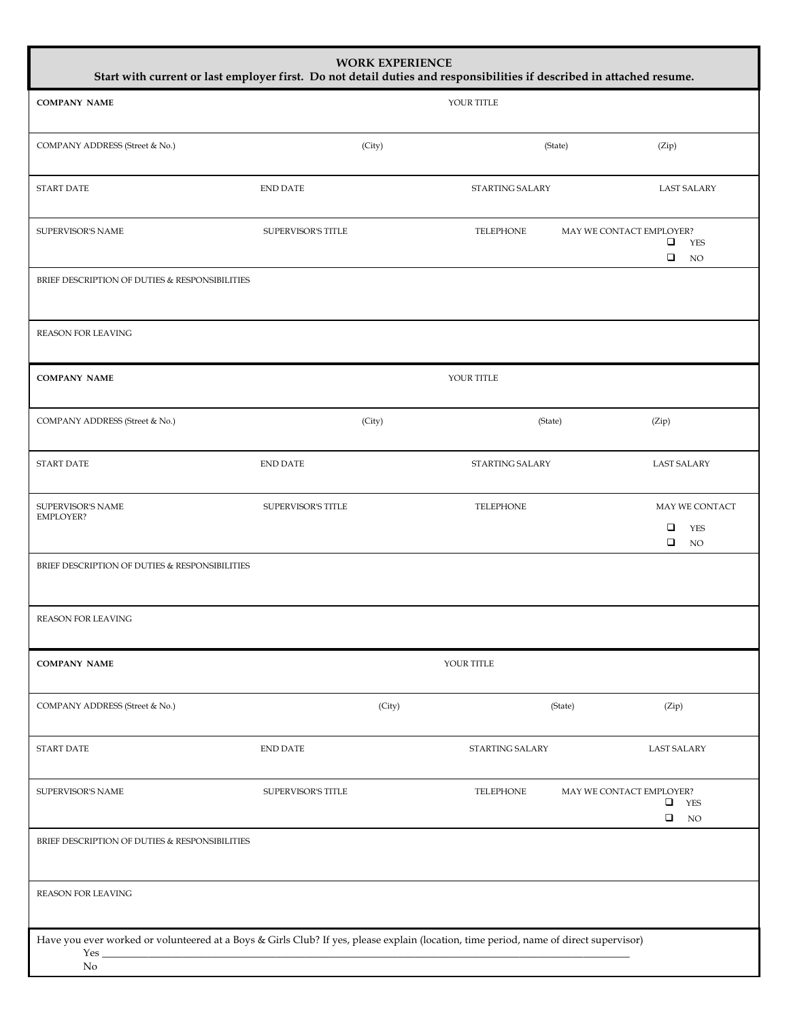| <b>WORK EXPERIENCE</b><br>Start with current or last employer first. Do not detail duties and responsibilities if described in attached resume.         |                    |        |                 |                          |                                                                 |  |  |  |  |
|---------------------------------------------------------------------------------------------------------------------------------------------------------|--------------------|--------|-----------------|--------------------------|-----------------------------------------------------------------|--|--|--|--|
| <b>COMPANY NAME</b>                                                                                                                                     |                    |        | YOUR TITLE      |                          |                                                                 |  |  |  |  |
| COMPANY ADDRESS (Street & No.)                                                                                                                          |                    | (City) |                 | (State)                  | (Zip)                                                           |  |  |  |  |
| START DATE                                                                                                                                              | <b>END DATE</b>    |        | STARTING SALARY |                          | <b>LAST SALARY</b>                                              |  |  |  |  |
| <b>SUPERVISOR'S NAME</b>                                                                                                                                | SUPERVISOR'S TITLE |        | TELEPHONE       | MAY WE CONTACT EMPLOYER? | □<br><b>YES</b><br>$\Box$<br><b>NO</b>                          |  |  |  |  |
| BRIEF DESCRIPTION OF DUTIES & RESPONSIBILITIES                                                                                                          |                    |        |                 |                          |                                                                 |  |  |  |  |
| REASON FOR LEAVING                                                                                                                                      |                    |        |                 |                          |                                                                 |  |  |  |  |
| <b>COMPANY NAME</b>                                                                                                                                     |                    |        | YOUR TITLE      |                          |                                                                 |  |  |  |  |
| COMPANY ADDRESS (Street & No.)                                                                                                                          |                    | (City) |                 | (State)                  | (Zip)                                                           |  |  |  |  |
| <b>START DATE</b>                                                                                                                                       | <b>END DATE</b>    |        | STARTING SALARY |                          | <b>LAST SALARY</b>                                              |  |  |  |  |
| SUPERVISOR'S NAME<br><b>EMPLOYER?</b>                                                                                                                   | SUPERVISOR'S TITLE |        | TELEPHONE       |                          | MAY WE CONTACT<br>$\Box$<br><b>YES</b><br>$\Box$<br>$_{\rm NO}$ |  |  |  |  |
| BRIEF DESCRIPTION OF DUTIES & RESPONSIBILITIES                                                                                                          |                    |        |                 |                          |                                                                 |  |  |  |  |
| REASON FOR LEAVING                                                                                                                                      |                    |        |                 |                          |                                                                 |  |  |  |  |
| <b>COMPANY NAME</b>                                                                                                                                     |                    |        | YOUR TITLE      |                          |                                                                 |  |  |  |  |
| COMPANY ADDRESS (Street & No.)                                                                                                                          |                    | (City) |                 | (State)                  | (Zip)                                                           |  |  |  |  |
| <b>START DATE</b>                                                                                                                                       | END DATE           |        | STARTING SALARY |                          | <b>LAST SALARY</b>                                              |  |  |  |  |
| SUPERVISOR'S NAME                                                                                                                                       | SUPERVISOR'S TITLE |        | TELEPHONE       | MAY WE CONTACT EMPLOYER? | <b>YES</b><br>❏<br>$\Box$<br>$_{\rm NO}$                        |  |  |  |  |
| BRIEF DESCRIPTION OF DUTIES & RESPONSIBILITIES                                                                                                          |                    |        |                 |                          |                                                                 |  |  |  |  |
| REASON FOR LEAVING                                                                                                                                      |                    |        |                 |                          |                                                                 |  |  |  |  |
| Have you ever worked or volunteered at a Boys & Girls Club? If yes, please explain (location, time period, name of direct supervisor)<br>Yes $\_$<br>No |                    |        |                 |                          |                                                                 |  |  |  |  |